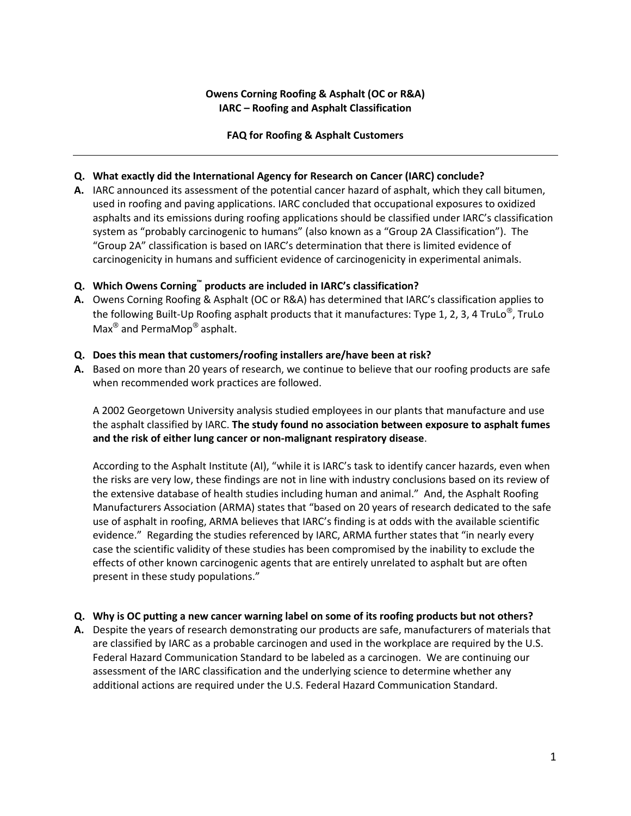# **Owens Corning Roofing & Asphalt (OC or R&A) IARC – Roofing and Asphalt Classification**

## **FAQ for Roofing & Asphalt Customers**

## **Q. What exactly did the International Agency for Research on Cancer (IARC) conclude?**

**A.** IARC announced its assessment of the potential cancer hazard of asphalt, which they call bitumen, used in roofing and paving applications. IARC concluded that occupational exposures to oxidized asphalts and its emissions during roofing applications should be classified under IARC's classification system as "probably carcinogenic to humans" (also known as a "Group 2A Classification"). The "Group 2A" classification is based on IARC's determination that there is limited evidence of carcinogenicity in humans and sufficient evidence of carcinogenicity in experimental animals.

## **Q. Which Owens Corning™ products are included in IARC's classification?**

**A.** Owens Corning Roofing & Asphalt (OC or R&A) has determined that IARC's classification applies to the following Built-Up Roofing asphalt products that it manufactures: Type 1, 2, 3, 4 TruLo<sup>®</sup>, TruLo  $Max^{\circledR}$  and PermaMop<sup>®</sup> asphalt.

### **Q. Does this mean that customers/roofing installers are/have been at risk?**

**A.** Based on more than 20 years of research, we continue to believe that our roofing products are safe when recommended work practices are followed.

A 2002 Georgetown University analysis studied employees in our plants that manufacture and use the asphalt classified by IARC. **The study found no association between exposure to asphalt fumes and the risk of either lung cancer or non-malignant respiratory disease**.

According to the Asphalt Institute (AI), "while it is IARC's task to identify cancer hazards, even when the risks are very low, these findings are not in line with industry conclusions based on its review of the extensive database of health studies including human and animal." And, the Asphalt Roofing Manufacturers Association (ARMA) states that "based on 20 years of research dedicated to the safe use of asphalt in roofing, ARMA believes that IARC's finding is at odds with the available scientific evidence." Regarding the studies referenced by IARC, ARMA further states that "in nearly every case the scientific validity of these studies has been compromised by the inability to exclude the effects of other known carcinogenic agents that are entirely unrelated to asphalt but are often present in these study populations."

### **Q. Why is OC putting a new cancer warning label on some of its roofing products but not others?**

**A.** Despite the years of research demonstrating our products are safe, manufacturers of materials that are classified by IARC as a probable carcinogen and used in the workplace are required by the U.S. Federal Hazard Communication Standard to be labeled as a carcinogen. We are continuing our assessment of the IARC classification and the underlying science to determine whether any additional actions are required under the U.S. Federal Hazard Communication Standard.